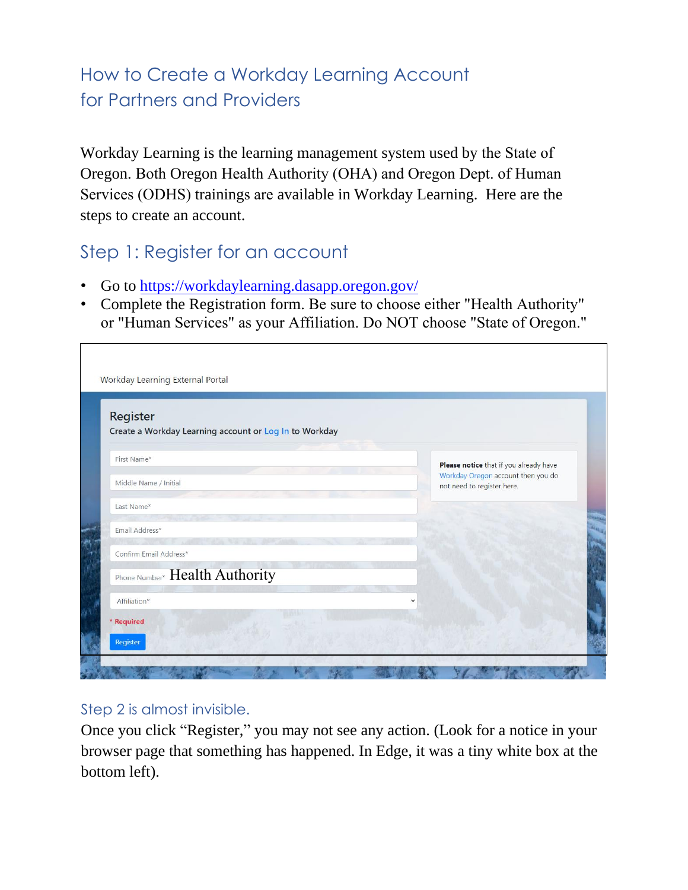# How to Create a Workday Learning Account for Partners and Providers

Workday Learning is the learning management system used by the State of Oregon. Both Oregon Health Authority (OHA) and Oregon Dept. of Human Services (ODHS) trainings are available in Workday Learning. Here are the steps to create an account.

## Step 1: Register for an account

 $\Gamma$ 

- Go to htt[ps://workdaylearning.dasapp.oregon.gov/](https://workdaylearning.dasapp.oregon.gov/)
- Complete the Registration form. Be sure to choose either "Health Authority" or "Human Services" as your Affiliation. Do NOT choose "State of Oregon."

| Register<br>Create a Workday Learning account or Log In to Workday |                                                                  |
|--------------------------------------------------------------------|------------------------------------------------------------------|
|                                                                    |                                                                  |
| First Name*                                                        | Please notice that if you already have                           |
| Middle Name / Initial                                              | Workday Oregon account then you do<br>not need to register here. |
| Last Name*                                                         |                                                                  |
| Email Address*                                                     |                                                                  |
| Confirm Email Address*                                             |                                                                  |
| Phone Number* Health Authority                                     |                                                                  |
| Affiliation*                                                       |                                                                  |
| * Required                                                         |                                                                  |

#### Step 2 is almost invisible.

Once you click "Register," you may not see any action. (Look for a notice in your browser page that something has happened. In Edge, it was a tiny white box at the bottom left).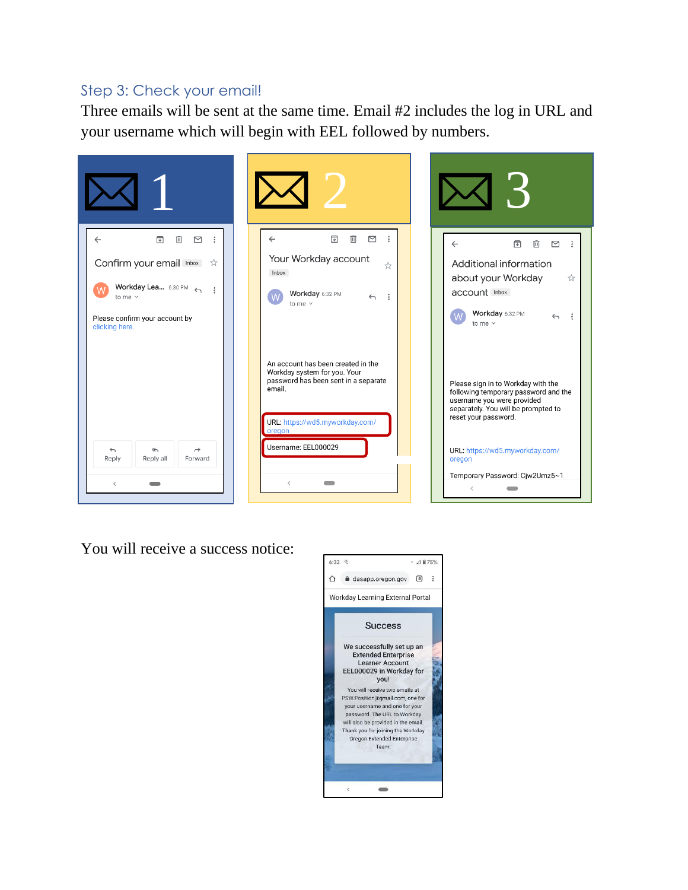#### Step 3: Check your email!

Three emails will be sent at the same time. Email #2 includes the log in URL and your username which will begin with EEL followed by numbers.



You will receive a success notice:

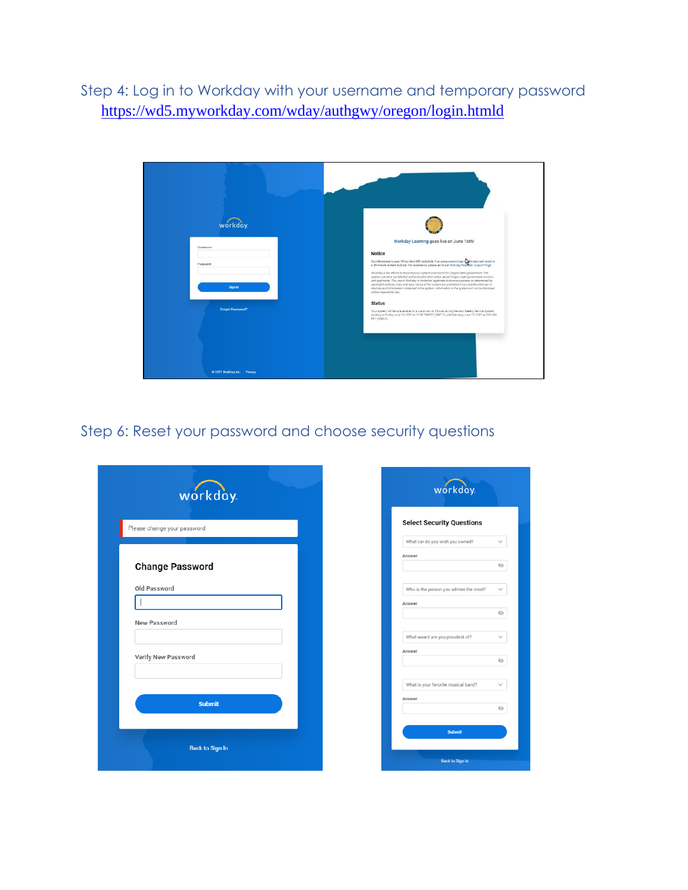Step 4: Log in to Workday with your username and temporary password <https://wd5.myworkday.com/wday/authgwy/oregon/login.htmld>



### Step 6: Reset your password and choose security questions

| workday.                    |  | workday.                                               |  |  |
|-----------------------------|--|--------------------------------------------------------|--|--|
| Please change your password |  | <b>Select Security Questions</b>                       |  |  |
|                             |  | What car do you wish you owned?<br>$\checkmark$        |  |  |
| <b>Change Password</b>      |  | Answer<br>$\varnothing$                                |  |  |
| Old Password                |  | Who is the person you admire the most?<br>$\checkmark$ |  |  |
|                             |  | Answer                                                 |  |  |
| New Password                |  | $\varnothing$                                          |  |  |
|                             |  | What award are you proudest of?<br>$\checkmark$        |  |  |
| Verify New Password         |  | Answer<br>$\oslash$                                    |  |  |
|                             |  |                                                        |  |  |
|                             |  | What is your favorite musical band?<br>$\checkmark$    |  |  |
| <b>Submit</b>               |  | Answer<br>$\mathcal{Q}$                                |  |  |
|                             |  | <b>Submit</b>                                          |  |  |
| <b>Back to Sign In</b>      |  | <b>Back to Sign In</b>                                 |  |  |